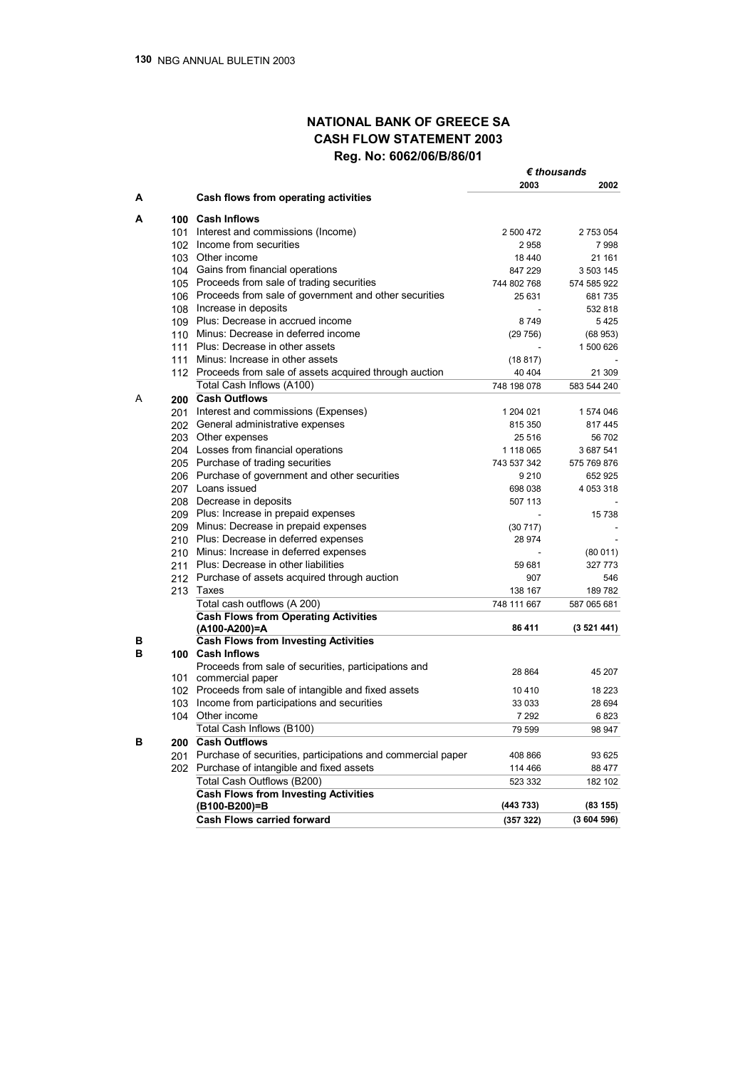# **NATIONAL BANK OF GREECE SA CASH FLOW STATEMENT 2003 Reg. No: 6062/06/Β/86/01**

|   |                                                                            |             | $\bm{\epsilon}$ thousands |  |
|---|----------------------------------------------------------------------------|-------------|---------------------------|--|
|   |                                                                            | 2003        | 2002                      |  |
| Α | Cash flows from operating activities                                       |             |                           |  |
| А | 100 Cash Inflows                                                           |             |                           |  |
|   | 101 Interest and commissions (Income)                                      | 2 500 472   | 2 753 054                 |  |
|   | 102 Income from securities                                                 | 2958        | 7998                      |  |
|   | 103 Other income                                                           | 18 440      | 21 161                    |  |
|   | 104 Gains from financial operations                                        | 847 229     | 3 503 145                 |  |
|   | 105 Proceeds from sale of trading securities                               | 744 802 768 | 574 585 922               |  |
|   | 106 Proceeds from sale of government and other securities                  | 25 631      | 681735                    |  |
|   | 108 Increase in deposits                                                   |             | 532 818                   |  |
|   | 109 Plus: Decrease in accrued income                                       | 8749        | 5425                      |  |
|   | 110 Minus: Decrease in deferred income                                     | (29756)     | (68953)                   |  |
|   | 111 Plus: Decrease in other assets                                         |             | 1 500 626                 |  |
|   | 111 Minus: Increase in other assets                                        | (18817)     |                           |  |
|   | 112 Proceeds from sale of assets acquired through auction                  | 40 40 4     | 21 309                    |  |
|   | Total Cash Inflows (A100)                                                  | 748 198 078 | 583 544 240               |  |
| A | 200 Cash Outflows                                                          |             |                           |  |
|   | 201 Interest and commissions (Expenses)                                    | 1 204 021   | 1574046                   |  |
|   | 202 General administrative expenses                                        | 815 350     | 817445                    |  |
|   | 203 Other expenses                                                         | 25 516      | 56702                     |  |
|   | 204 Losses from financial operations                                       | 1 118 065   | 3 687 541                 |  |
|   | 205 Purchase of trading securities                                         | 743 537 342 | 575 769 876               |  |
|   | 206 Purchase of government and other securities                            | 9 2 1 0     | 652 925                   |  |
|   | 207 Loans issued                                                           | 698 038     | 4 0 5 3 3 1 8             |  |
|   | 208 Decrease in deposits                                                   | 507 113     |                           |  |
|   | 209 Plus: Increase in prepaid expenses                                     |             | 15738                     |  |
|   | 209 Minus: Decrease in prepaid expenses                                    | (30717)     |                           |  |
|   | 210 Plus: Decrease in deferred expenses                                    | 28 974      |                           |  |
|   | 210 Minus: Increase in deferred expenses                                   |             | (80011)                   |  |
|   | 211 Plus: Decrease in other liabilities                                    | 59 681      | 327 773                   |  |
|   | 212 Purchase of assets acquired through auction                            | 907         | 546                       |  |
|   | 213 Taxes                                                                  | 138 167     | 189782                    |  |
|   |                                                                            | 748 111 667 |                           |  |
|   | Total cash outflows (A 200)<br><b>Cash Flows from Operating Activities</b> |             | 587 065 681               |  |
|   | (A100-A200)=A                                                              | 86 411      | (3521441)                 |  |
| в | <b>Cash Flows from Investing Activities</b>                                |             |                           |  |
| в | 100 Cash Inflows                                                           |             |                           |  |
|   | Proceeds from sale of securities, participations and                       |             |                           |  |
|   | 101 commercial paper                                                       | 28 8 64     | 45 207                    |  |
|   | 102 Proceeds from sale of intangible and fixed assets                      | 10410       | 18 2 23                   |  |
|   | 103 Income from participations and securities                              | 33 033      | 28 694                    |  |
|   | 104 Other income                                                           | 7 2 9 2     | 6823                      |  |
|   | Total Cash Inflows (B100)                                                  | 79 599      | 98 947                    |  |
| в | 200 Cash Outflows                                                          |             |                           |  |
|   | 201 Purchase of securities, participations and commercial paper            | 408 866     | 93 625                    |  |
|   | 202 Purchase of intangible and fixed assets                                | 114 466     | 88 477                    |  |
|   | Total Cash Outflows (B200)                                                 | 523 332     | 182 102                   |  |
|   | <b>Cash Flows from Investing Activities</b>                                |             |                           |  |
|   | (B100-B200)=B                                                              | (443 733)   | (83155)                   |  |
|   | <b>Cash Flows carried forward</b>                                          | (357 322)   | (3604596)                 |  |
|   |                                                                            |             |                           |  |